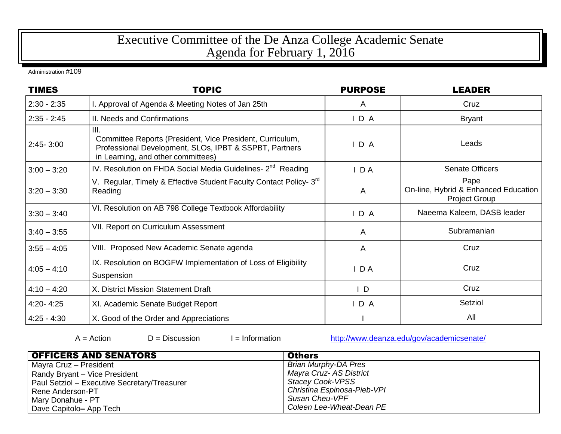## Executive Committee of the De Anza College Academic Senate Agenda for February 1, 2016

Administration #109

| <b>TIMES</b>  | <b>TOPIC</b>                                                                                                                                                      | <b>PURPOSE</b> | <b>LEADER</b>                                                        |
|---------------|-------------------------------------------------------------------------------------------------------------------------------------------------------------------|----------------|----------------------------------------------------------------------|
| $2:30 - 2:35$ | I. Approval of Agenda & Meeting Notes of Jan 25th                                                                                                                 | A              | Cruz                                                                 |
| $2:35 - 2:45$ | II. Needs and Confirmations                                                                                                                                       | D A            | <b>Bryant</b>                                                        |
| $2:45 - 3:00$ | III.<br>Committee Reports (President, Vice President, Curriculum,<br>Professional Development, SLOs, IPBT & SSPBT, Partners<br>in Learning, and other committees) | D A            | Leads                                                                |
| $3:00 - 3:20$ | IV. Resolution on FHDA Social Media Guidelines- 2 <sup>nd</sup> Reading                                                                                           | $I$ DA         | <b>Senate Officers</b>                                               |
| $3:20 - 3:30$ | V. Regular, Timely & Effective Student Faculty Contact Policy- 3 <sup>rd</sup><br>Reading                                                                         | A              | Pape<br>On-line, Hybrid & Enhanced Education<br><b>Project Group</b> |
| $3:30 - 3:40$ | VI. Resolution on AB 798 College Textbook Affordability                                                                                                           | D A            | Naeema Kaleem, DASB leader                                           |
| $3:40 - 3:55$ | VII. Report on Curriculum Assessment                                                                                                                              | A              | Subramanian                                                          |
| $3:55 - 4:05$ | VIII. Proposed New Academic Senate agenda                                                                                                                         | $\mathsf{A}$   | Cruz                                                                 |
| $4:05 - 4:10$ | IX. Resolution on BOGFW Implementation of Loss of Eligibility<br>Suspension                                                                                       | $I$ DA         | Cruz                                                                 |
| $4:10 - 4:20$ | X. District Mission Statement Draft                                                                                                                               | $\mathsf{I}$ D | Cruz                                                                 |
| $4:20 - 4:25$ | XI. Academic Senate Budget Report                                                                                                                                 | D A            | Setziol                                                              |
| $4:25 - 4:30$ | X. Good of the Order and Appreciations                                                                                                                            |                | All                                                                  |

 $D = Disclusion$   $I = Information$  <http://www.deanza.edu/gov/academicsenate/>

| <b>OFFICERS AND SENATORS</b>                 | <b>Others</b>               |
|----------------------------------------------|-----------------------------|
| Mayra Cruz - President                       | Brian Murphy-DA Pres        |
| Randy Bryant - Vice President                | Mayra Cruz- AS District     |
| Paul Setziol - Executive Secretary/Treasurer | Stacey Cook-VPSS            |
| Rene Anderson-PT                             | Christina Espinosa-Pieb-VPI |
| Mary Donahue - PT                            | Susan Cheu-VPF              |
| Dave Capitolo- App Tech                      | Coleen Lee-Wheat-Dean PE    |